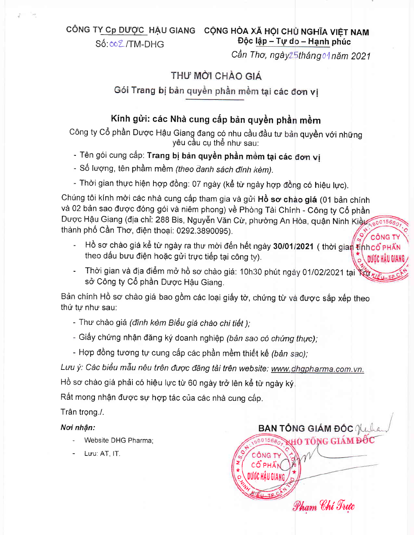CÔNG T<u>Y Cp DƯỢC.</u> HẬU GIANG CỘNG HÒA XÃ HỘI CHỦ NGHĨA VIỆT NAM Độc lập - Tự do - Hạnh phúc

Số: 002/TM-DHG

## Cần Thơ, ngày25tháng 01 năm 2021

## THƯ MỜI CHÀO GIÁ

### Gói Trang bị bản quyền phần mềm tại các đơn vi

## Kính gửi: các Nhà cung cấp bản quyền phần mềm

Công ty Cổ phần Dược Hậu Giang đang có nhu cầu đầu tư bản quyền với những<br>yêu cầu cụ thể như sau:

- Tên gói cung cấp: Trang bị bản quyền phần mềm tại các đơn vị
- Số lượng, tên phầm mềm (theo danh sách đính kèm).
- Thời gian thực hiện hợp đồng: 07 ngày (kể từ ngày hợp đồng có hiệu lực).

Chúng tôi kính mời các nhà cung cấp tham gia và gửi **Hồ sơ chào giá** (01 bản chính và 02 bản sao được đóng gói và niêm phong) về Phòng Tài Chính - Công ty Cổ phần Dược Hậu Giang (địa chỉ: 288 Bis, Nguyễn Văn Cừ, phường An Hòa, quận Ninh thành phố Cần Thơ, điện thoại: 0292.3890095).

- Hồ sơ chào giá kể từ ngày ra thư mời đến hết ngày <mark>30/01/2021</mark> ( thời theo dâu buu điện hoặc gửi trực tiếp tại công ty). DƯỚC HẦU GIA
- Thời gian và địa điểm mở hồ sơ chào giá: 10h30 phút ngày 01/02/2021 tại sở Công ty Cổ phần Dược Hậu Giang.

Bản chính Hồ sơ chào giá bao gồm các loại giấy tờ, chứng từ và được sắp xếp theo thứ tự như sau:

- Thư chào giá (đính kèm Biểu giá chào chi tiết );
- Giấy chứng nhận đăng ký doanh nghiệp *(bản sao có chứng thực),*
- Hợp đông tương tự cung cấp các phần mềm thiết kế *(bản sao);*

Lưu ý: Các biểu mẫu nêu trên được đăng tải trên website: www.dhgpharma.com.vn.

Hồ sơ chào giá phải có hiệu lực từ 60 ngày trở lên kể từ ngày ký

Rất mong nhận được sự hợp tác của các nhà cung cấp.

Trân trọng./.

#### Noi nhận:

- Website DHG Pharma;
- Luu: AT, IT.

**BAN TỒNG GIÁM ĐÓC NA KHO TỔNG GIÁM Đ** CÔNG TY CÔ PHÂN DU(C HÂU GIANG **MARY** Pham Chí Trưo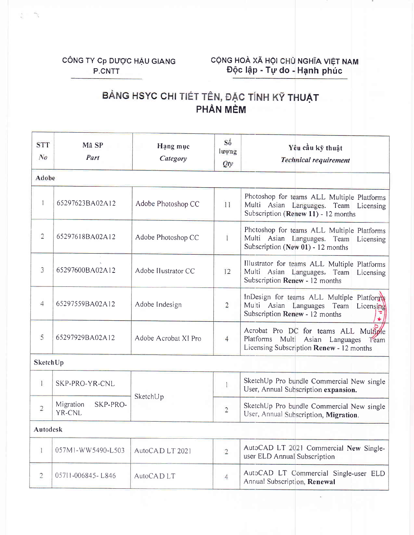## CÔNG TY Cp DƯỢC HẬU GIANG P.CNTT

# CỘNG HOÀ XÃ HỘI CHỦ NGHĨA VIỆT NAM<br>Độc lập - Tự do - Hạnh phúc

# BẢNG HSYC CHI TIẾT TÊN, ĐẶC TÍNH KỸ THUẬT PHẦN MỀM

| <b>STT</b><br>$N_{0}$ | Mã SP<br>Part                   | Hang muc<br>Category | Số<br>luong<br>Qty | Yêu cầu kỹ thuật<br><b>Technical requirement</b>                                                                                |  |  |  |
|-----------------------|---------------------------------|----------------------|--------------------|---------------------------------------------------------------------------------------------------------------------------------|--|--|--|
| Adobe                 |                                 |                      |                    |                                                                                                                                 |  |  |  |
| 1                     | 65297623BA02A12                 | Adobe Photoshop CC   | 11                 | Photoshop for teams ALL Multiple Platforms<br>Multi Asian Languages. Team Licensing<br>Subscription (Renew 11) - 12 months      |  |  |  |
| 2                     | 65297618BA02A12                 | Adobe Photoshop CC   | Ť                  | Photoshop for teams ALL Multiple Platforms<br>Multi Asian Languages. Team Licensing<br>Subscription (New 01) - 12 months        |  |  |  |
| 3                     | 65297600BA02A12                 | Adobe Ilustrator CC  | 12                 | Illustrator for teams ALL Multiple Platforms<br>Multi Asian Languages. Team<br>Licensing<br>Subscription Renew - 12 months      |  |  |  |
| 4                     | 65297559BA02A12                 | Adobe Indesign       | $\overline{2}$     | InDesign for teams ALL Multiple Platforms<br>Multi Asian Languages Team Licensing<br>Subscription Renew - 12 months             |  |  |  |
| 5                     | 65297929BA02A12                 | Adobe Acrobat XI Pro | $\overline{4}$     | Acrobat Pro DC for teams ALL Multiple<br>Platforms Multi<br>Asian Languages<br>Team<br>Licensing Subscription Renew - 12 months |  |  |  |
| <b>SketchUp</b>       |                                 |                      |                    |                                                                                                                                 |  |  |  |
| 1                     | SKP-PRO-YR-CNL                  | SketchUp             |                    | SketchUp Pro bundle Commercial New single<br>User, Annual Subscription expansion.                                               |  |  |  |
| $\overline{2}$        | Migration<br>SKP-PRO-<br>YR-CNL |                      | $\overline{2}$     | SketchUp Pro bundle Commercial New single<br>User, Annual Subscription, Migration.                                              |  |  |  |
| Autodesk              |                                 |                      |                    |                                                                                                                                 |  |  |  |
| 1                     | 057M1-WW5490-L503               | AutoCAD LT 2021      | $\overline{2}$     | AutoCAD LT 2021 Commercial New Single-<br>user ELD Annual Subscription                                                          |  |  |  |
| $\overline{c}$        | 05711-006845-L846               | AutoCAD LT           | $\overline{4}$     | AutoCAD LT Commercial Single-user ELD<br>Annual Subscription, Renewal                                                           |  |  |  |